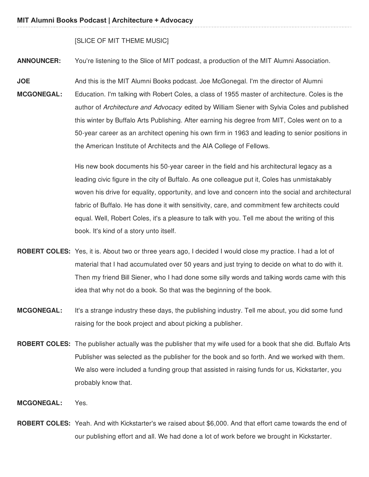## [SLICE OF MIT THEME MUSIC]

**ANNOUNCER:** You're listening to the Slice of MIT podcast, a production of the MIT Alumni Association.

**JOE MCGONEGAL:** And this is the MIT Alumni Books podcast. Joe McGonegal. I'm the director of Alumni Education. I'm talking with Robert Coles, a class of 1955 master of architecture. Coles is the author of *Architecture and Advocacy* edited by William Siener with Sylvia Coles and published this winter by Buffalo Arts Publishing. After earning his degree from MIT, Coles went on to a 50-year career as an architect opening his own firm in 1963 and leading to senior positions in the American Institute of Architects and the AIA College of Fellows.

> His new book documents his 50-year career in the field and his architectural legacy as a leading civic figure in the city of Buffalo. As one colleague put it, Coles has unmistakably woven his drive for equality, opportunity, and love and concern into the social and architectural fabric of Buffalo. He has done it with sensitivity, care, and commitment few architects could equal. Well, Robert Coles, it's a pleasure to talk with you. Tell me about the writing of this book. It's kind of a story unto itself.

- **ROBERT COLES:** Yes, it is. About two or three years ago, I decided I would close my practice. I had a lot of material that I had accumulated over 50 years and just trying to decide on what to do with it. Then my friend Bill Siener, who I had done some silly words and talking words came with this idea that why not do a book. So that was the beginning of the book.
- **MCGONEGAL:** It's a strange industry these days, the publishing industry. Tell me about, you did some fund raising for the book project and about picking a publisher.
- **ROBERT COLES:** The publisher actually was the publisher that my wife used for a book that she did. Buffalo Arts Publisher was selected as the publisher for the book and so forth. And we worked with them. We also were included a funding group that assisted in raising funds for us, Kickstarter, you probably know that.
- **MCGONEGAL:** Yes.
- **ROBERT COLES:** Yeah. And with Kickstarter's we raised about \$6,000. And that effort came towards the end of our publishing effort and all. We had done a lot of work before we brought in Kickstarter.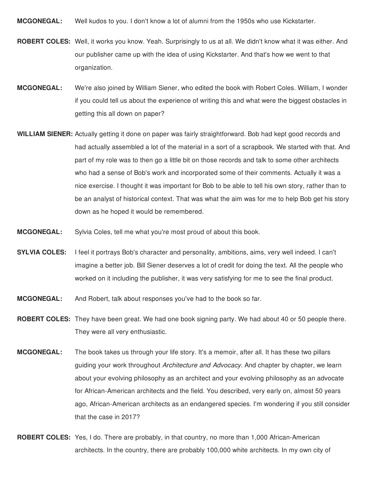**MCGONEGAL:** Well kudos to you. I don't know a lot of alumni from the 1950s who use Kickstarter.

- **ROBERT COLES:** Well, it works you know. Yeah. Surprisingly to us at all. We didn't know what it was either. And our publisher came up with the idea of using Kickstarter. And that's how we went to that organization.
- **MCGONEGAL:** We're also joined by William Siener, who edited the book with Robert Coles. William, I wonder if you could tell us about the experience of writing this and what were the biggest obstacles in getting this all down on paper?
- **WILLIAM SIENER:** Actually getting it done on paper was fairly straightforward. Bob had kept good records and had actually assembled a lot of the material in a sort of a scrapbook. We started with that. And part of my role was to then go a little bit on those records and talk to some other architects who had a sense of Bob's work and incorporated some of their comments. Actually it was a nice exercise. I thought it was important for Bob to be able to tell his own story, rather than to be an analyst of historical context. That was what the aim was for me to help Bob get his story down as he hoped it would be remembered.
- **MCGONEGAL:** Sylvia Coles, tell me what you're most proud of about this book.
- **SYLVIA COLES:** I feel it portrays Bob's character and personality, ambitions, aims, very well indeed. I can't imagine a better job. Bill Siener deserves a lot of credit for doing the text. All the people who worked on it including the publisher, it was very satisfying for me to see the final product.
- **MCGONEGAL:** And Robert, talk about responses you've had to the book so far.
- **ROBERT COLES:** They have been great. We had one book signing party. We had about 40 or 50 people there. They were all very enthusiastic.
- **MCGONEGAL:** The book takes us through your life story. It's a memoir, after all. It has these two pillars guiding your work throughout *Architecture and Advocacy.* And chapter by chapter, we learn about your evolving philosophy as an architect and your evolving philosophy as an advocate for African-American architects and the field. You described, very early on, almost 50 years ago, African-American architects as an endangered species. I'm wondering if you still consider that the case in 2017?
- **ROBERT COLES:** Yes, I do. There are probably, in that country, no more than 1,000 African-American architects. In the country, there are probably 100,000 white architects. In my own city of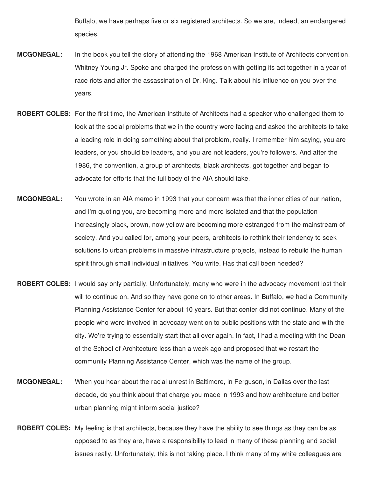Buffalo, we have perhaps five or six registered architects. So we are, indeed, an endangered species.

- **MCGONEGAL:** In the book you tell the story of attending the 1968 American Institute of Architects convention. Whitney Young Jr. Spoke and charged the profession with getting its act together in a year of race riots and after the assassination of Dr. King. Talk about his influence on you over the years.
- **ROBERT COLES:** For the first time, the American Institute of Architects had a speaker who challenged them to look at the social problems that we in the country were facing and asked the architects to take a leading role in doing something about that problem, really. I remember him saying, you are leaders, or you should be leaders, and you are not leaders, you're followers. And after the 1986, the convention, a group of architects, black architects, got together and began to advocate for efforts that the full body of the AIA should take.
- **MCGONEGAL:** You wrote in an AIA memo in 1993 that your concern was that the inner cities of our nation, and I'm quoting you, are becoming more and more isolated and that the population increasingly black, brown, now yellow are becoming more estranged from the mainstream of society. And you called for, among your peers, architects to rethink their tendency to seek solutions to urban problems in massive infrastructure projects, instead to rebuild the human spirit through small individual initiatives. You write. Has that call been heeded?
- **ROBERT COLES:** I would say only partially. Unfortunately, many who were in the advocacy movement lost their will to continue on. And so they have gone on to other areas. In Buffalo, we had a Community Planning Assistance Center for about 10 years. But that center did not continue. Many of the people who were involved in advocacy went on to public positions with the state and with the city. We're trying to essentially start that all over again. In fact, I had a meeting with the Dean of the School of Architecture less than a week ago and proposed that we restart the community Planning Assistance Center, which was the name of the group.
- **MCGONEGAL:** When you hear about the racial unrest in Baltimore, in Ferguson, in Dallas over the last decade, do you think about that charge you made in 1993 and how architecture and better urban planning might inform social justice?
- **ROBERT COLES:** My feeling is that architects, because they have the ability to see things as they can be as opposed to as they are, have a responsibility to lead in many of these planning and social issues really. Unfortunately, this is not taking place. I think many of my white colleagues are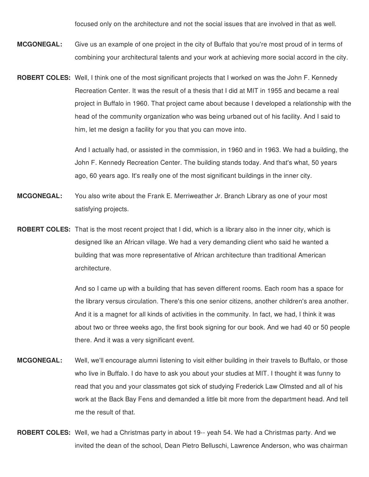focused only on the architecture and not the social issues that are involved in that as well.

- **MCGONEGAL:** Give us an example of one project in the city of Buffalo that you're most proud of in terms of combining your architectural talents and your work at achieving more social accord in the city.
- **ROBERT COLES:** Well, I think one of the most significant projects that I worked on was the John F. Kennedy Recreation Center. It was the result of a thesis that I did at MIT in 1955 and became a real project in Buffalo in 1960. That project came about because I developed a relationship with the head of the community organization who was being urbaned out of his facility. And I said to him, let me design a facility for you that you can move into.

And I actually had, or assisted in the commission, in 1960 and in 1963. We had a building, the John F. Kennedy Recreation Center. The building stands today. And that's what, 50 years ago, 60 years ago. It's really one of the most significant buildings in the inner city.

- **MCGONEGAL:** You also write about the Frank E. Merriweather Jr. Branch Library as one of your most satisfying projects.
- **ROBERT COLES:** That is the most recent project that I did, which is a library also in the inner city, which is designed like an African village. We had a very demanding client who said he wanted a building that was more representative of African architecture than traditional American architecture.

And so I came up with a building that has seven different rooms. Each room has a space for the library versus circulation. There's this one senior citizens, another children's area another. And it is a magnet for all kinds of activities in the community. In fact, we had, I think it was about two or three weeks ago, the first book signing for our book. And we had 40 or 50 people there. And it was a very significant event.

- **MCGONEGAL:** Well, we'll encourage alumni listening to visit either building in their travels to Buffalo, or those who live in Buffalo. I do have to ask you about your studies at MIT. I thought it was funny to read that you and your classmates got sick of studying Frederick Law Olmsted and all of his work at the Back Bay Fens and demanded a little bit more from the department head. And tell me the result of that.
- **ROBERT COLES:** Well, we had a Christmas party in about 19-- yeah 54. We had a Christmas party. And we invited the dean of the school, Dean Pietro Belluschi, Lawrence Anderson, who was chairman